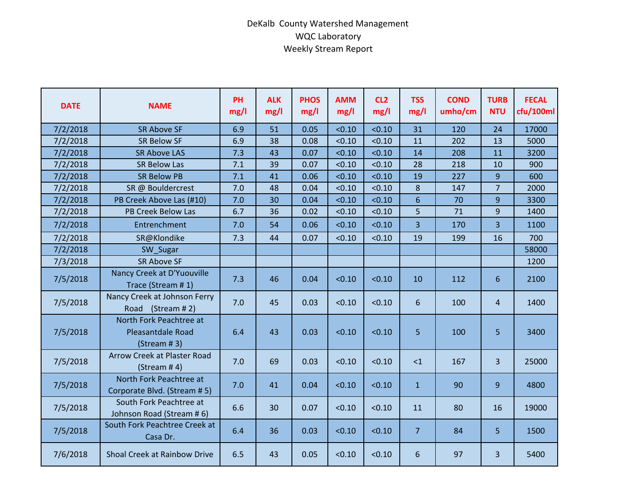## DeKalb County Watershed Management WQC Laboratory Weekly Stream Report

| <b>DATE</b> | <b>NAME</b>                                                  | PH<br>mg/l | <b>ALK</b><br>mg/l | <b>PHOS</b><br>mg/l | <b>AMM</b><br>mg/l | CL <sub>2</sub><br>mg/l | <b>TSS</b><br>mg/l | <b>COND</b><br>umho/cm | <b>TURB</b><br><b>NTU</b> | <b>FECAL</b><br>cfu/100ml |
|-------------|--------------------------------------------------------------|------------|--------------------|---------------------|--------------------|-------------------------|--------------------|------------------------|---------------------------|---------------------------|
| 7/2/2018    | <b>SR Above SF</b>                                           | 6.9        | 51                 | 0.05                | < 0.10             | < 0.10                  | 31                 | 120                    | 24                        | 17000                     |
| 7/2/2018    | <b>SR Below SF</b>                                           | 6.9        | 38                 | 0.08                | < 0.10             | < 0.10                  | 11                 | 202                    | 13                        | 5000                      |
| 7/2/2018    | <b>SR Above LAS</b>                                          | 7.3        | 43                 | 0.07                | < 0.10             | < 0.10                  | 14                 | 208                    | 11                        | 3200                      |
| 7/2/2018    | <b>SR Below Las</b>                                          | 7.1        | 39                 | 0.07                | < 0.10             | < 0.10                  | 28                 | 218                    | 10                        | 900                       |
| 7/2/2018    | <b>SR Below PB</b>                                           | 7.1        | 41                 | 0.06                | < 0.10             | < 0.10                  | 19                 | 227                    | 9                         | 600                       |
| 7/2/2018    | SR @ Bouldercrest                                            | 7.0        | 48                 | 0.04                | < 0.10             | < 0.10                  | 8                  | 147                    | $\overline{7}$            | 2000                      |
| 7/2/2018    | PB Creek Above Las (#10)                                     | 7.0        | 30                 | 0.04                | < 0.10             | < 0.10                  | 6                  | 70                     | 9                         | 3300                      |
| 7/2/2018    | <b>PB Creek Below Las</b>                                    | 6.7        | 36                 | 0.02                | < 0.10             | < 0.10                  | 5                  | 71                     | 9                         | 1400                      |
| 7/2/2018    | Entrenchment                                                 | 7.0        | 54                 | 0.06                | < 0.10             | < 0.10                  | 3                  | 170                    | 3                         | 1100                      |
| 7/2/2018    | SR@Klondike                                                  | 7.3        | 44                 | 0.07                | < 0.10             | < 0.10                  | 19                 | 199                    | 16                        | 700                       |
| 7/2/2018    | SW_Sugar                                                     |            |                    |                     |                    |                         |                    |                        |                           | 58000                     |
| 7/3/2018    | <b>SR Above SF</b>                                           |            |                    |                     |                    |                         |                    |                        |                           | 1200                      |
| 7/5/2018    | Nancy Creek at D'Yuouville<br>Trace (Stream #1)              | 7.3        | 46                 | 0.04                | < 0.10             | < 0.10                  | 10                 | 112                    | 6                         | 2100                      |
| 7/5/2018    | Nancy Creek at Johnson Ferry<br>Road (Stream #2)             | 7.0        | 45                 | 0.03                | < 0.10             | < 0.10                  | 6                  | 100                    | 4                         | 1400                      |
| 7/5/2018    | North Fork Peachtree at<br>Pleasantdale Road<br>(Stream # 3) | 6.4        | 43                 | 0.03                | < 0.10             | < 0.10                  | 5                  | 100                    | 5                         | 3400                      |
| 7/5/2018    | Arrow Creek at Plaster Road<br>(Stream # 4)                  | 7.0        | 69                 | 0.03                | < 0.10             | < 0.10                  | $\leq$ 1           | 167                    | $\overline{3}$            | 25000                     |
| 7/5/2018    | North Fork Peachtree at<br>Corporate Blvd. (Stream # 5)      | 7.0        | 41                 | 0.04                | < 0.10             | < 0.10                  | $\mathbf{1}$       | 90                     | 9 <sup>°</sup>            | 4800                      |
| 7/5/2018    | South Fork Peachtree at<br>Johnson Road (Stream #6)          | 6.6        | 30                 | 0.07                | < 0.10             | < 0.10                  | 11                 | 80                     | 16                        | 19000                     |
| 7/5/2018    | South Fork Peachtree Creek at<br>Casa Dr.                    | 6.4        | 36                 | 0.03                | < 0.10             | < 0.10                  | 7                  | 84                     | 5                         | 1500                      |
| 7/6/2018    | Shoal Creek at Rainbow Drive                                 | 6.5        | 43                 | 0.05                | < 0.10             | < 0.10                  | 6                  | 97                     | $\overline{3}$            | 5400                      |